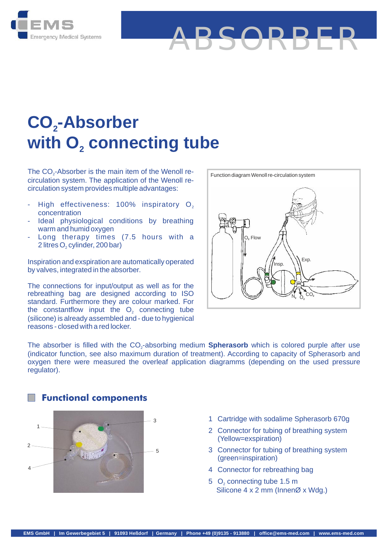

# END BETWEEN Systems<br>
Emergency Medical Systems<br> **CO<sub>2</sub>-Absorber**<br>
with O<sub>2</sub> connecting 1 **CO<sub>2</sub>-Absorber**<br>
With O<sub>2</sub> connecting tube<br>
The CO<sub>2</sub>-Absorber is the main item of the Wenoll re-<br>
circulation system. The application of the Wenoll re-CO<sub>2</sub>-Absorber **2**  $\frac{1}{\pi}$  **With**  $O_2$  **connecting to**  $\frac{1}{\pi}$  The CO<sub>2</sub>-Absorber is the main item of the Wenoll re-

circulation system. The application of the Wenoll recirculation system provides multiple advantages: The CO<sub>2</sub>-Absorber is the main item of the Wenoll re-

- High effectiveness: 100% inspiratory  $\mathsf{O}_2$   $\parallel$ concentration<br>Ideal physiological conditions by breathing circulation system. The application of the Wenoll re-<br>
circulation system provides multiple advantages:<br>
- High effectiveness: 100% inspiratory O<sub>2</sub><br>
concentration<br>
- Ideal physiological conditions by breathing<br>
warm and h - High effectiveness: 100% inspiratory  $O_2$ <br>
concentration<br>
- Ideal physiological conditions by breathing<br>
warm and humid oxygen<br>
- Long therapy times (7.5 hours with a<br>
2 litres O<sub>2</sub> cylinder, 200 bar)
- warm and humid oxygen
- High effectiveness: 100%<br>concentration<br>Ideal physiological condition<br>warmand humid oxygen<br>Long therapy times (7.5<br>2 litres O<sub>2</sub> cylinder, 200 bar)<br>piration and oxeniration are autor 2 litres O<sub>2</sub> cylinder, 200 bar)

Inspiration and exspiration are automatically operated by valves, integrated in the absorber.

The connections for input/output as well as for the rebreathing bag are designed according to ISO standard. Furthermore they are colour marked. For by valves, integrated in the absorber.<br>
The connections for input/output as well as for the<br>
rebreathing bag are designed according to ISO<br>
standard. Furthermore they are colour marked. For<br>
the constantflow input the O<sub>2</sub> (silicone) is already assembled and - due to hygienical reasons - closed with a red locker. the constantflow input the O<sub>2</sub> connecting tube



ABSORBER

Standard. Turnelinote they are colour marked. Tor<br>
the constantflow input the O<sub>2</sub> connecting tube<br>
(indicator is filled with a red locker.<br>
The absorber is filled with the CO<sub>2</sub>-absorbing medium **Spherasorb** which is colo oxygen there were measured the overleaf application diagramms (depending on the used pressure regulator). The absorber is filled with the CO<sub>2</sub>-absorbing medium **Spherasorb** which is colored purple after use



- **Functional components**
- 1 Cartridge with sodalime Spherasorb 670g<br>2 Connector for tubing of breathing system
- 1 Cartridge with sodalime Spherasorb 670g<br>2 Connector for tubing of breathing system<br>(Yellow=exspiration) (Yellow=exspiration)
- 1 Cartridge with sodalime Spherasorb 670g<br>
2 Connector for tubing of breathing system<br>
(Yellow=exspiration)<br>
3 Connector for tubing of breathing system<br>
(green=inspiration) (green=inspiration) 2 Connector for tubing of breathing system<br>
(Yellow=exspiration)<br>
3 Connector for tubing of breathing system<br>
(green=inspiration)<br>
4 Connector for rebreathing bag<br>
5 O<sub>2</sub> connecting tube 1.5 m 3 Connector for tubing of breathing syste<br>
(green=inspiration)<br>
4 Connector for rebreathing bag<br>
5 O<sub>2</sub> connecting tube 1.5 m<br>
Silicone 4 x 2 mm (InnenØ x Wdg.)
- 
- Silicone 4 x 2 mm (InnenØ x Wdg.) 5 O<sub>2</sub> connecting tube 1.5 m